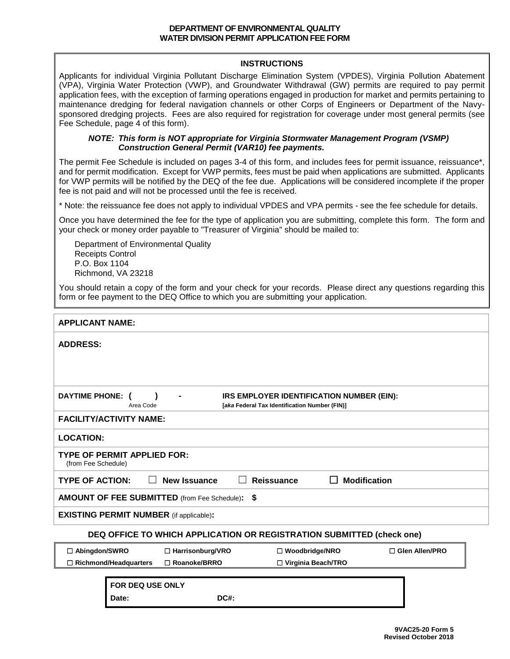#### **DEPARTMENT OF ENVIRONMENTAL QUALITY WATER DIVISION PERMIT APPLICATION FEE FORM**

## **INSTRUCTIONS**

Applicants for individual Virginia Pollutant Discharge Elimination System (VPDES), Virginia Pollution Abatement (VPA), Virginia Water Protection (VWP), and Groundwater Withdrawal (GW) permits are required to pay permit application fees, with the exception of farming operations engaged in production for market and permits pertaining to maintenance dredging for federal navigation channels or other Corps of Engineers or Department of the Navysponsored dredging projects. Fees are also required for registration for coverage under most general permits (see Fee Schedule, page 4 of this form).

### *NOTE: This form is NOT appropriate for Virginia Stormwater Management Program (VSMP) Construction General Permit (VAR10) fee payments.*

The permit Fee Schedule is included on pages 3-4 of this form, and includes fees for permit issuance, reissuance\*, and for permit modification. Except for VWP permits, fees must be paid when applications are submitted. Applicants for VWP permits will be notified by the DEQ of the fee due. Applications will be considered incomplete if the proper fee is not paid and will not be processed until the fee is received.

\* Note: the reissuance fee does not apply to individual VPDES and VPA permits - see the fee schedule for details.

Once you have determined the fee for the type of application you are submitting, complete this form. The form and your check or money order payable to "Treasurer of Virginia" should be mailed to:

Department of Environmental Quality Receipts Control P.O. Box 1104 Richmond, VA 23218

You should retain a copy of the form and your check for your records. Please direct any questions regarding this form or fee payment to the DEQ Office to which you are submitting your application.

| <b>APPLICANT NAME:</b>                                                                                                           |  |
|----------------------------------------------------------------------------------------------------------------------------------|--|
| <b>ADDRESS:</b>                                                                                                                  |  |
|                                                                                                                                  |  |
| <b>DAYTIME PHONE:</b><br>IRS EMPLOYER IDENTIFICATION NUMBER (EIN):<br>[aka Federal Tax Identification Number (FIN)]<br>Area Code |  |
| <b>FACILITY/ACTIVITY NAME:</b>                                                                                                   |  |
| <b>LOCATION:</b>                                                                                                                 |  |
| <b>TYPE OF PERMIT APPLIED FOR:</b><br>(from Fee Schedule)                                                                        |  |
| <b>Modification</b><br><b>New Issuance</b><br>Reissuance<br><b>TYPE OF ACTION:</b>                                               |  |
| <b>AMOUNT OF FEE SUBMITTED</b> (from Fee Schedule):<br>\$                                                                        |  |
| <b>EXISTING PERMIT NUMBER</b> (if applicable):                                                                                   |  |
| DEQ OFFICE TO WHICH APPLICATION OR REGISTRATION SUBMITTED (check one)                                                            |  |
| □ Abingdon/SWRO<br>□ Woodbridge/NRO<br>□ Glen Allen/PRO<br>□ Harrisonburg/VRO                                                    |  |
| □ Roanoke/BRRO<br>$\Box$ Richmond/Headquarters<br>□ Virginia Beach/TRO                                                           |  |
| FOR DEQ USE ONLY                                                                                                                 |  |
| $DC#$ :<br>Date:                                                                                                                 |  |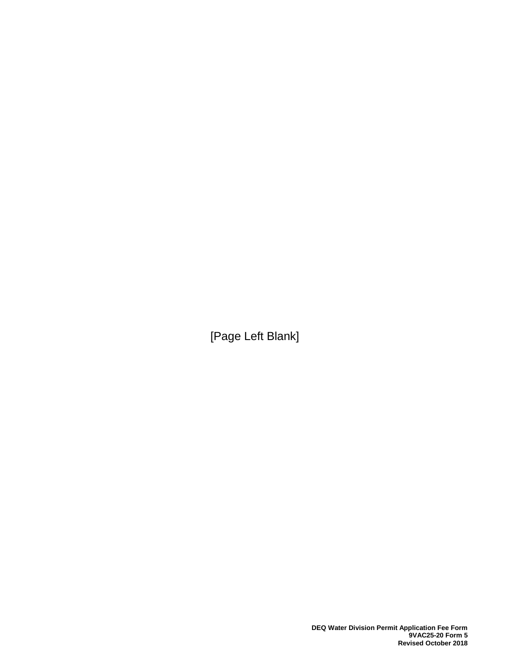[Page Left Blank]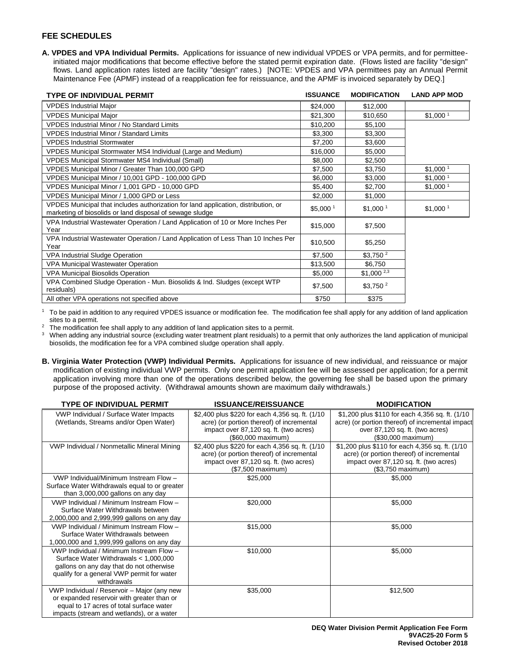# **FEE SCHEDULES**

**A. VPDES and VPA Individual Permits.** Applications for issuance of new individual VPDES or VPA permits, and for permitteeinitiated major modifications that become effective before the stated permit expiration date. (Flows listed are facility "design" flows. Land application rates listed are facility "design" rates.) [NOTE: VPDES and VPA permittees pay an Annual Permit Maintenance Fee (APMF) instead of a reapplication fee for reissuance, and the APMF is invoiced separately by DEQ.]

| <b>TYPE OF INDIVIDUAL PERMIT</b>                                                                                                               | <b>ISSUANCE</b>      | <b>MODIFICATION</b>     | <b>LAND APP MOD</b>  |
|------------------------------------------------------------------------------------------------------------------------------------------------|----------------------|-------------------------|----------------------|
| <b>VPDES Industrial Major</b>                                                                                                                  | \$24,000             | \$12,000                |                      |
| <b>VPDES Municipal Major</b>                                                                                                                   | \$21,300             | \$10,650                | \$1,000 <sup>1</sup> |
| <b>VPDES Industrial Minor / No Standard Limits</b>                                                                                             | \$10,200             | \$5,100                 |                      |
| VPDES Industrial Minor / Standard Limits                                                                                                       | \$3,300              | \$3,300                 |                      |
| <b>VPDES Industrial Stormwater</b>                                                                                                             | \$7,200              | \$3,600                 |                      |
| VPDES Municipal Stormwater MS4 Individual (Large and Medium)                                                                                   | \$16,000             | \$5,000                 |                      |
| <b>VPDES Municipal Stormwater MS4 Individual (Small)</b>                                                                                       | \$8,000              | \$2,500                 |                      |
| VPDES Municipal Minor / Greater Than 100,000 GPD                                                                                               | \$7,500              | \$3,750                 | \$1,000 <sup>1</sup> |
| VPDES Municipal Minor / 10,001 GPD - 100,000 GPD                                                                                               | \$6,000              | \$3,000                 | \$1,000 <sup>1</sup> |
| VPDES Municipal Minor / 1,001 GPD - 10,000 GPD                                                                                                 | \$5,400              | \$2,700                 | \$1,000 <sup>1</sup> |
| VPDES Municipal Minor / 1,000 GPD or Less                                                                                                      | \$2,000              | \$1,000                 |                      |
| VPDES Municipal that includes authorization for land application, distribution, or<br>marketing of biosolids or land disposal of sewage sludge | \$5,000 <sup>1</sup> | \$1,000 <sup>1</sup>    | \$1,000 <sup>1</sup> |
| VPA Industrial Wastewater Operation / Land Application of 10 or More Inches Per<br>Year                                                        | \$15,000             | \$7,500                 |                      |
| VPA Industrial Wastewater Operation / Land Application of Less Than 10 Inches Per<br>Year                                                      | \$10,500             | \$5,250                 |                      |
| VPA Industrial Sludge Operation                                                                                                                | \$7,500              | \$3,750 $2$             |                      |
| <b>VPA Municipal Wastewater Operation</b>                                                                                                      | \$13,500             | \$6,750                 |                      |
| <b>VPA Municipal Biosolids Operation</b>                                                                                                       | \$5,000              | $$1,000$ <sup>2,3</sup> |                      |
| VPA Combined Sludge Operation - Mun. Biosolids & Ind. Sludges (except WTP<br>residuals)                                                        | \$7,500              | \$3,750 <sup>2</sup>    |                      |
| All other VPA operations not specified above                                                                                                   | \$750                | \$375                   |                      |

<sup>1</sup> To be paid in addition to any required VPDES issuance or modification fee. The modification fee shall apply for any addition of land application sites to a permit.

<sup>2</sup> The modification fee shall apply to any addition of land application sites to a permit.

<sup>3</sup> When adding any industrial source (excluding water treatment plant residuals) to a permit that only authorizes the land application of municipal biosolids, the modification fee for a VPA combined sludge operation shall apply.

**B. Virginia Water Protection (VWP) Individual Permits.** Applications for issuance of new individual, and reissuance or major modification of existing individual VWP permits. Only one permit application fee will be assessed per application; for a permit application involving more than one of the operations described below, the governing fee shall be based upon the primary purpose of the proposed activity. (Withdrawal amounts shown are maximum daily withdrawals.)

| <b>TYPE OF INDIVIDUAL PERMIT</b>                                                                                                                                                           | <b>ISSUANCE/REISSUANCE</b>                                                                                                                                    | <b>MODIFICATION</b>                                                                                                                                          |
|--------------------------------------------------------------------------------------------------------------------------------------------------------------------------------------------|---------------------------------------------------------------------------------------------------------------------------------------------------------------|--------------------------------------------------------------------------------------------------------------------------------------------------------------|
| VWP Individual / Surface Water Impacts<br>(Wetlands, Streams and/or Open Water)                                                                                                            | \$2,400 plus \$220 for each 4,356 sq. ft. (1/10)<br>acre) (or portion thereof) of incremental<br>impact over 87,120 sq. ft. (two acres)<br>(\$60,000 maximum) | \$1,200 plus \$110 for each 4,356 sq. ft. (1/10<br>acre) (or portion thereof) of incremental impact<br>over 87,120 sq. ft. (two acres)<br>(\$30,000 maximum) |
| VWP Individual / Nonmetallic Mineral Mining                                                                                                                                                | \$2,400 plus \$220 for each 4,356 sq. ft. (1/10)<br>acre) (or portion thereof) of incremental<br>impact over 87,120 sq. ft. (two acres)<br>(\$7,500 maximum)  | \$1,200 plus \$110 for each 4,356 sq. ft. (1/10<br>acre) (or portion thereof) of incremental<br>impact over 87,120 sq. ft. (two acres)<br>(\$3,750 maximum)  |
| VWP Individual/Minimum Instream Flow -<br>Surface Water Withdrawals equal to or greater<br>than 3,000,000 gallons on any day                                                               | \$25,000                                                                                                                                                      | \$5,000                                                                                                                                                      |
| VWP Individual / Minimum Instream Flow -<br>Surface Water Withdrawals between<br>2,000,000 and 2,999,999 gallons on any day                                                                | \$20,000                                                                                                                                                      | \$5,000                                                                                                                                                      |
| VWP Individual / Minimum Instream Flow -<br>Surface Water Withdrawals between<br>1,000,000 and 1,999,999 gallons on any day                                                                | \$15,000                                                                                                                                                      | \$5,000                                                                                                                                                      |
| VWP Individual / Minimum Instream Flow -<br>Surface Water Withdrawals < 1,000,000<br>gallons on any day that do not otherwise<br>qualify for a general VWP permit for water<br>withdrawals | \$10,000                                                                                                                                                      | \$5,000                                                                                                                                                      |
| VWP Individual / Reservoir - Major (any new<br>or expanded reservoir with greater than or<br>equal to 17 acres of total surface water<br>impacts (stream and wetlands), or a water         | \$35,000                                                                                                                                                      | \$12,500                                                                                                                                                     |